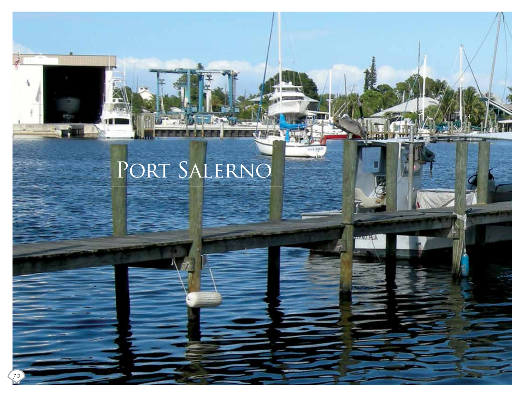# Port Salerno

70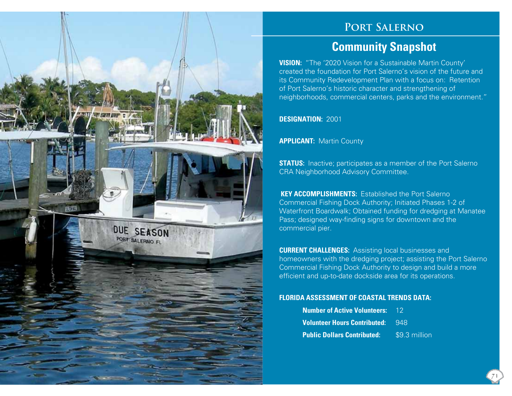

### **Port Salerno**

## **Community Snapshot**

**VISION:** "The '2020 Vision for a Sustainable Martin County' created the foundation for Port Salerno's vision of the future and its Community Redevelopment Plan with a focus on: Retention of Port Salerno's historic character and strengthening of neighborhoods, commercial centers, parks and the environment."

**DESIGNATION:** 2001

**APPLICANT:** Martin County

**STATUS:** Inactive; participates as a member of the Port Salerno CRA Neighborhood Advisory Committee.

 **KEY ACCOMPLISHMENTS:** Established the Port Salerno Commercial Fishing Dock Authority; Initiated Phases 1-2 of Waterfront Boardwalk; Obtained funding for dredging at Manatee Pass; designed way-finding signs for downtown and the commercial pier.

**CURRENT CHALLENGES:** Assisting local businesses and homeowners with the dredging project; assisting the Port Salerno Commercial Fishing Dock Authority to design and build a more efficient and up-to-date dockside area for its operations.

#### **FLORIDA ASSESSMENT OF COASTAL TRENDS DATA:**

| <b>Number of Active Volunteers: 12</b>  |               |
|-----------------------------------------|---------------|
| <b>Volunteer Hours Contributed: 948</b> |               |
| <b>Public Dollars Contributed:</b>      | \$9.3 million |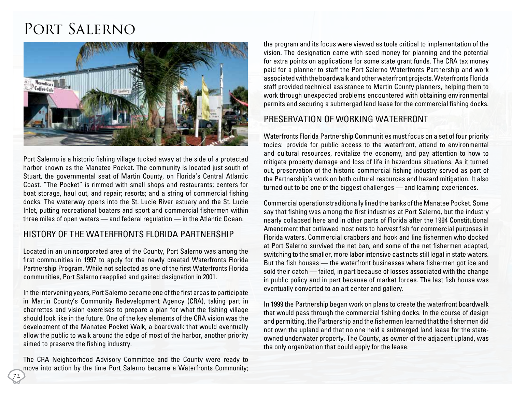# Port Salerno



Port Salerno is a historic fishing village tucked away at the side of a protected harbor known as the Manatee Pocket. The community is located just south of Stuart, the governmental seat of Martin County, on Florida's Central Atlantic Coast. "The Pocket" is rimmed with small shops and restaurants; centers for boat storage, haul out, and repair; resorts; and a string of commercial fishing docks. The waterway opens into the St. Lucie River estuary and the St. Lucie Inlet, putting recreational boaters and sport and commercial fishermen within three miles of open waters — and federal regulation — in the Atlantic Ocean.

#### History of the Waterfronts Florida Partnership

Located in an unincorporated area of the County, Port Salerno was among the first communities in 1997 to apply for the newly created Waterfronts Florida Partnership Program. While not selected as one of the first Waterfronts Florida communities, Port Salerno reapplied and gained designation in 2001.

In the intervening years, Port Salerno became one of the first areas to participate in Martin County's Community Redevelopment Agency (CRA), taking part in charrettes and vision exercises to prepare a plan for what the fishing village should look like in the future. One of the key elements of the CRA vision was the development of the Manatee Pocket Walk, a boardwalk that would eventually allow the public to walk around the edge of most of the harbor, another priority aimed to preserve the fishing industry.

The CRA Neighborhood Advisory Committee and the County were ready to move into action by the time Port Salerno became a Waterfronts Community;

the program and its focus were viewed as tools critical to implementation of the vision. The designation came with seed money for planning and the potential for extra points on applications for some state grant funds. The CRA tax money paid for a planner to staff the Port Salerno Waterfronts Partnership and work associated with the boardwalk and other waterfront projects. Waterfronts Florida staff provided technical assistance to Martin County planners, helping them to work through unexpected problems encountered with obtaining environmental permits and securing a submerged land lease for the commercial fishing docks.

#### Preservation of Working Waterfront

Waterfronts Florida Partnership Communities must focus on a set of four priority topics: provide for public access to the waterfront, attend to environmental and cultural resources, revitalize the economy, and pay attention to how to mitigate property damage and loss of life in hazardous situations. As it turned out, preservation of the historic commercial fishing industry served as part of the Partnership's work on both cultural resources and hazard mitigation. It also turned out to be one of the biggest challenges — and learning experiences.

Commercial operations traditionally lined the banks of the Manatee Pocket. Some say that fishing was among the first industries at Port Salerno, but the industry nearly collapsed here and in other parts of Florida after the 1994 Constitutional Amendment that outlawed most nets to harvest fish for commercial purposes in Florida waters. Commercial crabbers and hook and line fishermen who docked at Port Salerno survived the net ban, and some of the net fishermen adapted, switching to the smaller, more labor intensive cast nets still legal in state waters. But the fish houses — the waterfront businesses where fishermen got ice and sold their catch — failed, in part because of losses associated with the change in public policy and in part because of market forces. The last fish house was eventually converted to an art center and gallery.

In 1999 the Partnership began work on plans to create the waterfront boardwalk that would pass through the commercial fishing docks. In the course of design and permitting, the Partnership and the fishermen learned that the fishermen did not own the upland and that no one held a submerged land lease for the stateowned underwater property. The County, as owner of the adjacent upland, was the only organization that could apply for the lease.